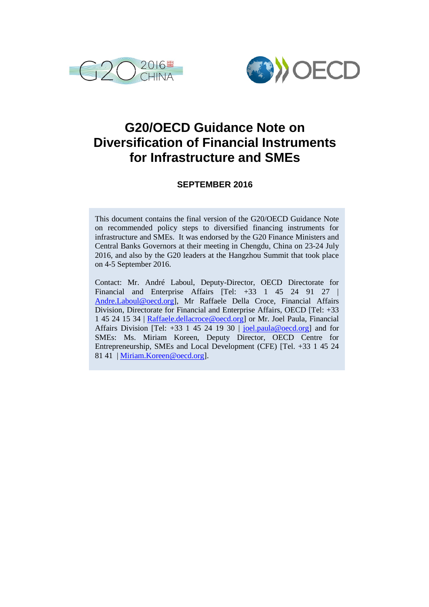



# **G20/OECD Guidance Note on Diversification of Financial Instruments for Infrastructure and SMEs**

# **SEPTEMBER 2016**

This document contains the final version of the G20/OECD Guidance Note on recommended policy steps to diversified financing instruments for infrastructure and SMEs. It was endorsed by the G20 Finance Ministers and Central Banks Governors at their meeting in Chengdu, China on 23-24 July 2016, and also by the G20 leaders at the Hangzhou Summit that took place on 4-5 September 2016.

Contact: Mr. André Laboul, Deputy-Director, OECD Directorate for Financial and Enterprise Affairs [Tel: +33 1 45 24 91 27 | [Andre.Laboul@oecd.org\]](mailto:Andre.Laboul@oecd.org), Mr Raffaele Della Croce, Financial Affairs Division, Directorate for Financial and Enterprise Affairs, OECD [Tel: +33 1 45 24 15 34 | Raffaele.dellacroce@oecd.org] or Mr. Joel Paula, Financial Affairs Division [Tel: +33 1 45 24 19 30 | [joel.paula@oecd.org\]](mailto:joel.paula@oecd.org) and for SMEs: Ms. Miriam Koreen, Deputy Director, OECD Centre for Entrepreneurship, SMEs and Local Development (CFE) [Tel. +33 1 45 24 81 41 | Miriam.Koreen@oecd.org].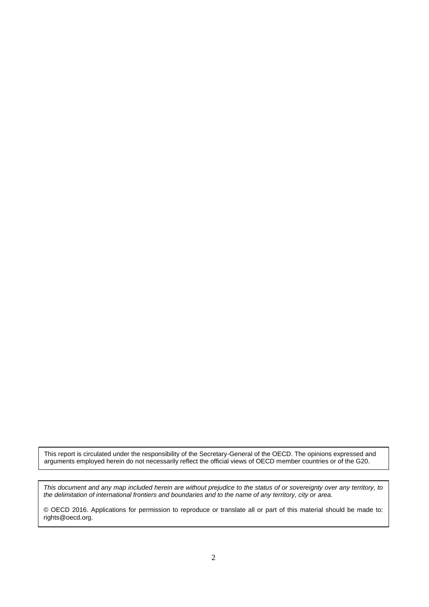This report is circulated under the responsibility of the Secretary-General of the OECD. The opinions expressed and arguments employed herein do not necessarily reflect the official views of OECD member countries or of the G20.

*This document and any map included herein are without prejudice to the status of or sovereignty over any territory, to the delimitation of international frontiers and boundaries and to the name of any territory, city or area.*

© OECD 2016. Applications for permission to reproduce or translate all or part of this material should be made to: rights@oecd.org.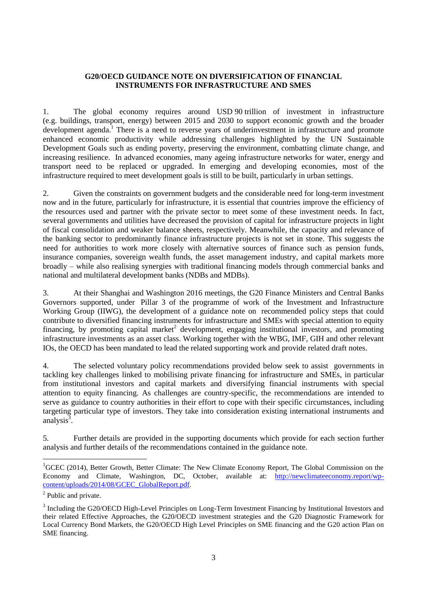#### **G20/OECD GUIDANCE NOTE ON DIVERSIFICATION OF FINANCIAL INSTRUMENTS FOR INFRASTRUCTURE AND SMES**

1. The global economy requires around USD 90 trillion of investment in infrastructure (e.g. buildings, transport, energy) between 2015 and 2030 to support economic growth and the broader development agenda.<sup>1</sup> There is a need to reverse years of underinvestment in infrastructure and promote enhanced economic productivity while addressing challenges highlighted by the UN Sustainable Development Goals such as ending poverty, preserving the environment, combatting climate change, and increasing resilience. In advanced economies, many ageing infrastructure networks for water, energy and transport need to be replaced or upgraded. In emerging and developing economies, most of the infrastructure required to meet development goals is still to be built, particularly in urban settings.

2. Given the constraints on government budgets and the considerable need for long-term investment now and in the future, particularly for infrastructure, it is essential that countries improve the efficiency of the resources used and partner with the private sector to meet some of these investment needs. In fact, several governments and utilities have decreased the provision of capital for infrastructure projects in light of fiscal consolidation and weaker balance sheets, respectively. Meanwhile, the capacity and relevance of the banking sector to predominantly finance infrastructure projects is not set in stone. This suggests the need for authorities to work more closely with alternative sources of finance such as pension funds, insurance companies, sovereign wealth funds, the asset management industry, and capital markets more broadly – while also realising synergies with traditional financing models through commercial banks and national and multilateral development banks (NDBs and MDBs).

3. At their Shanghai and Washington 2016 meetings, the G20 Finance Ministers and Central Banks Governors supported, under Pillar 3 of the programme of work of the Investment and Infrastructure Working Group (IIWG), the development of a guidance note on recommended policy steps that could contribute to diversified financing instruments for infrastructure and SMEs with special attention to equity financing, by promoting capital market<sup>2</sup> development, engaging institutional investors, and promoting infrastructure investments as an asset class. Working together with the WBG, IMF, GIH and other relevant IOs, the OECD has been mandated to lead the related supporting work and provide related draft notes.

4. The selected voluntary policy recommendations provided below seek to assist governments in tackling key challenges linked to mobilising private financing for infrastructure and SMEs, in particular from institutional investors and capital markets and diversifying financial instruments with special attention to equity financing. As challenges are country-specific, the recommendations are intended to serve as guidance to country authorities in their effort to cope with their specific circumstances, including targeting particular type of investors. They take into consideration existing international instruments and analysis $3$ .

5. Further details are provided in the supporting documents which provide for each section further analysis and further details of the recommendations contained in the guidance note.

<sup>&</sup>lt;sup>1</sup>GCEC (2014), Better Growth, Better Climate: The New Climate Economy Report, The Global Commission on the Economy and Climate, Washington, DC, October, available at: [http://newclimateeconomy.report/wp](http://newclimateeconomy.report/wp-content/uploads/2014/08/GCEC_GlobalReport.pdf)[content/uploads/2014/08/GCEC\\_GlobalReport.pdf.](http://newclimateeconomy.report/wp-content/uploads/2014/08/GCEC_GlobalReport.pdf)

<sup>&</sup>lt;sup>2</sup> Public and private.

<sup>&</sup>lt;sup>3</sup> Including the G20/OECD High-Level Principles on Long-Term Investment Financing by Institutional Investors and their related Effective Approaches, the G20/OECD investment strategies and the G20 Diagnostic Framework for Local Currency Bond Markets, the G20/OECD High Level Principles on SME financing and the G20 action Plan on SME financing.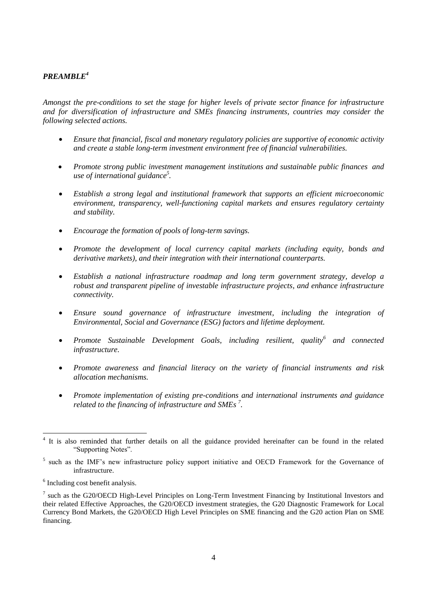## *PREAMBLE<sup>4</sup>*

*Amongst the pre-conditions to set the stage for higher levels of private sector finance for infrastructure and for diversification of infrastructure and SMEs financing instruments, countries may consider the following selected actions.*

- *Ensure that financial, fiscal and monetary regulatory policies are supportive of economic activity and create a stable long-term investment environment free of financial vulnerabilities.*
- *Promote strong public investment management institutions and sustainable public finances and use of international guidance<sup>5</sup> .*
- *Establish a strong legal and institutional framework that supports an efficient microeconomic environment, transparency, well-functioning capital markets and ensures regulatory certainty and stability.*
- *Encourage the formation of pools of long-term savings.*
- *Promote the development of local currency capital markets (including equity, bonds and derivative markets), and their integration with their international counterparts.*
- *Establish a national infrastructure roadmap and long term government strategy, develop a robust and transparent pipeline of investable infrastructure projects, and enhance infrastructure connectivity.*
- *Ensure sound governance of infrastructure investment, including the integration of Environmental, Social and Governance (ESG) factors and lifetime deployment.*
- *Promote Sustainable Development Goals, including resilient, quality<sup>6</sup> and connected infrastructure.*
- *Promote awareness and financial literacy on the variety of financial instruments and risk allocation mechanisms.*
- *Promote implementation of existing pre-conditions and international instruments and guidance related to the financing of infrastructure and SMEs <sup>7</sup> .*

<sup>&</sup>lt;sup>4</sup> It is also reminded that further details on all the guidance provided hereinafter can be found in the related "Supporting Notes".

<sup>&</sup>lt;sup>5</sup> such as the IMF's new infrastructure policy support initiative and OECD Framework for the Governance of infrastructure.

<sup>&</sup>lt;sup>6</sup> Including cost benefit analysis.

<sup>&</sup>lt;sup>7</sup> such as the G20/OECD High-Level Principles on Long-Term Investment Financing by Institutional Investors and their related Effective Approaches, the G20/OECD investment strategies, the G20 Diagnostic Framework for Local Currency Bond Markets, the G20/OECD High Level Principles on SME financing and the G20 action Plan on SME financing.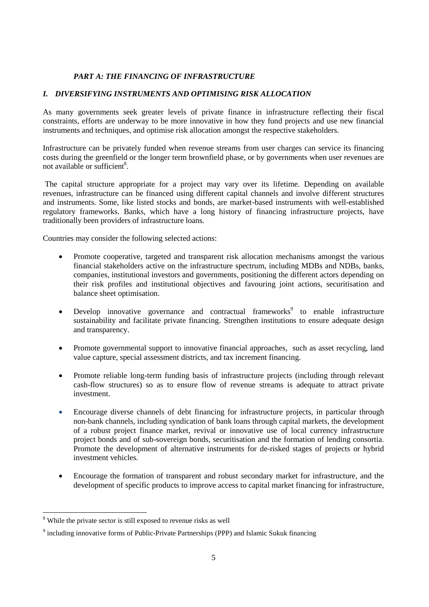## *PART A: THE FINANCING OF INFRASTRUCTURE*

#### *I. DIVERSIFYING INSTRUMENTS AND OPTIMISING RISK ALLOCATION*

As many governments seek greater levels of private finance in infrastructure reflecting their fiscal constraints, efforts are underway to be more innovative in how they fund projects and use new financial instruments and techniques, and optimise risk allocation amongst the respective stakeholders.

Infrastructure can be privately funded when revenue streams from user charges can service its financing costs during the greenfield or the longer term brownfield phase, or by governments when user revenues are not available or sufficient<sup>8</sup>.

The capital structure appropriate for a project may vary over its lifetime. Depending on available revenues, infrastructure can be financed using different capital channels and involve different structures and instruments. Some, like listed stocks and bonds, are market-based instruments with well-established regulatory frameworks. Banks, which have a long history of financing infrastructure projects, have traditionally been providers of infrastructure loans.

Countries may consider the following selected actions:

- Promote cooperative, targeted and transparent risk allocation mechanisms amongst the various financial stakeholders active on the infrastructure spectrum, including MDBs and NDBs, banks, companies, institutional investors and governments, positioning the different actors depending on their risk profiles and institutional objectives and favouring joint actions, securitisation and balance sheet optimisation.
- Develop innovative governance and contractual frameworks<sup>9</sup> to enable infrastructure sustainability and facilitate private financing. Strengthen institutions to ensure adequate design and transparency.
- Promote governmental support to innovative financial approaches, such as asset recycling, land value capture, special assessment districts, and tax increment financing.
- Promote reliable long-term funding basis of infrastructure projects (including through relevant cash-flow structures) so as to ensure flow of revenue streams is adequate to attract private investment.
- Encourage diverse channels of debt financing for infrastructure projects, in particular through non-bank channels, including syndication of bank loans through capital markets, the development of a robust project finance market, revival or innovative use of local currency infrastructure project bonds and of sub-sovereign bonds, securitisation and the formation of lending consortia. Promote the development of alternative instruments for de-risked stages of projects or hybrid investment vehicles.
- Encourage the formation of transparent and robust secondary market for infrastructure, and the development of specific products to improve access to capital market financing for infrastructure,

<sup>&</sup>lt;sup>8</sup> While the private sector is still exposed to revenue risks as well

 $9$  including innovative forms of Public-Private Partnerships (PPP) and Islamic Sukuk financing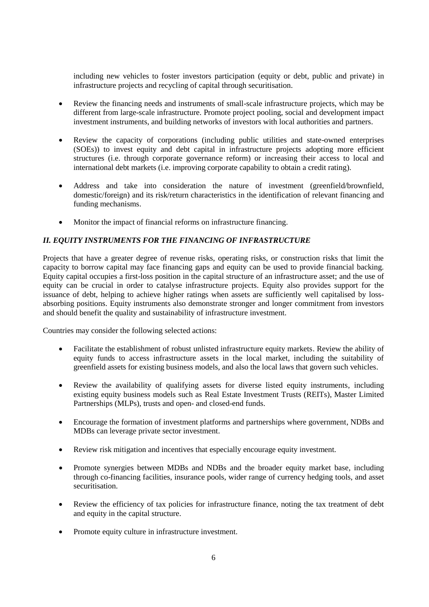including new vehicles to foster investors participation (equity or debt, public and private) in infrastructure projects and recycling of capital through securitisation.

- Review the financing needs and instruments of small-scale infrastructure projects, which may be different from large-scale infrastructure. Promote project pooling, social and development impact investment instruments, and building networks of investors with local authorities and partners.
- Review the capacity of corporations (including public utilities and state-owned enterprises (SOEs)) to invest equity and debt capital in infrastructure projects adopting more efficient structures (i.e. through corporate governance reform) or increasing their access to local and international debt markets (i.e. improving corporate capability to obtain a credit rating).
- Address and take into consideration the nature of investment (greenfield/brownfield, domestic/foreign) and its risk/return characteristics in the identification of relevant financing and funding mechanisms.
- Monitor the impact of financial reforms on infrastructure financing.

#### *II. EQUITY INSTRUMENTS FOR THE FINANCING OF INFRASTRUCTURE*

Projects that have a greater degree of revenue risks, operating risks, or construction risks that limit the capacity to borrow capital may face financing gaps and equity can be used to provide financial backing. Equity capital occupies a first-loss position in the capital structure of an infrastructure asset; and the use of equity can be crucial in order to catalyse infrastructure projects. Equity also provides support for the issuance of debt, helping to achieve higher ratings when assets are sufficiently well capitalised by lossabsorbing positions. Equity instruments also demonstrate stronger and longer commitment from investors and should benefit the quality and sustainability of infrastructure investment.

Countries may consider the following selected actions:

- Facilitate the establishment of robust unlisted infrastructure equity markets. Review the ability of equity funds to access infrastructure assets in the local market, including the suitability of greenfield assets for existing business models, and also the local laws that govern such vehicles.
- Review the availability of qualifying assets for diverse listed equity instruments, including existing equity business models such as Real Estate Investment Trusts (REITs), Master Limited Partnerships (MLPs), trusts and open- and closed-end funds.
- Encourage the formation of investment platforms and partnerships where government, NDBs and MDBs can leverage private sector investment.
- Review risk mitigation and incentives that especially encourage equity investment.
- Promote synergies between MDBs and NDBs and the broader equity market base, including through co-financing facilities, insurance pools, wider range of currency hedging tools, and asset securitisation.
- Review the efficiency of tax policies for infrastructure finance, noting the tax treatment of debt and equity in the capital structure.
- Promote equity culture in infrastructure investment.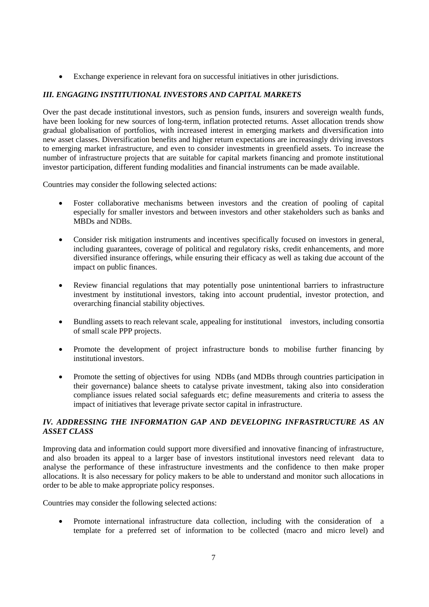Exchange experience in relevant fora on successful initiatives in other jurisdictions.

# *III. ENGAGING INSTITUTIONAL INVESTORS AND CAPITAL MARKETS*

Over the past decade institutional investors, such as pension funds, insurers and sovereign wealth funds, have been looking for new sources of long-term, inflation protected returns. Asset allocation trends show gradual globalisation of portfolios, with increased interest in emerging markets and diversification into new asset classes. Diversification benefits and higher return expectations are increasingly driving investors to emerging market infrastructure, and even to consider investments in greenfield assets. To increase the number of infrastructure projects that are suitable for capital markets financing and promote institutional investor participation, different funding modalities and financial instruments can be made available.

Countries may consider the following selected actions:

- Foster collaborative mechanisms between investors and the creation of pooling of capital especially for smaller investors and between investors and other stakeholders such as banks and MBDs and NDBs.
- Consider risk mitigation instruments and incentives specifically focused on investors in general, including guarantees, coverage of political and regulatory risks, credit enhancements, and more diversified insurance offerings, while ensuring their efficacy as well as taking due account of the impact on public finances.
- Review financial regulations that may potentially pose unintentional barriers to infrastructure investment by institutional investors, taking into account prudential, investor protection, and overarching financial stability objectives.
- Bundling assets to reach relevant scale, appealing for institutional investors, including consortia of small scale PPP projects.
- Promote the development of project infrastructure bonds to mobilise further financing by institutional investors.
- Promote the setting of objectives for using NDBs (and MDBs through countries participation in their governance) balance sheets to catalyse private investment, taking also into consideration compliance issues related social safeguards etc; define measurements and criteria to assess the impact of initiatives that leverage private sector capital in infrastructure.

## *IV. ADDRESSING THE INFORMATION GAP AND DEVELOPING INFRASTRUCTURE AS AN ASSET CLASS*

Improving data and information could support more diversified and innovative financing of infrastructure, and also broaden its appeal to a larger base of investors institutional investors need relevant data to analyse the performance of these infrastructure investments and the confidence to then make proper allocations. It is also necessary for policy makers to be able to understand and monitor such allocations in order to be able to make appropriate policy responses.

Countries may consider the following selected actions:

 Promote international infrastructure data collection, including with the consideration of a template for a preferred set of information to be collected (macro and micro level) and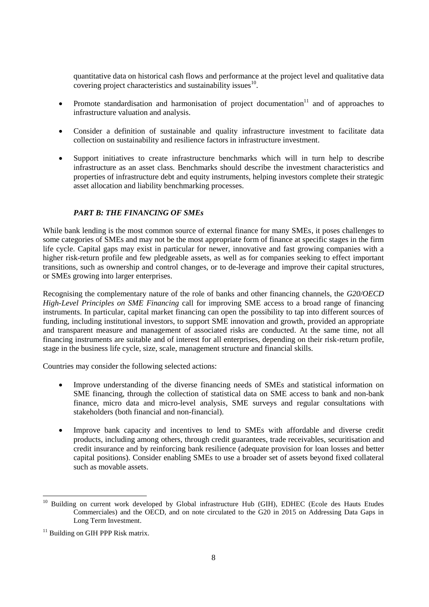quantitative data on historical cash flows and performance at the project level and qualitative data covering project characteristics and sustainability issues $^{10}$ .

- Promote standardisation and harmonisation of project documentation<sup>11</sup> and of approaches to infrastructure valuation and analysis.
- Consider a definition of sustainable and quality infrastructure investment to facilitate data collection on sustainability and resilience factors in infrastructure investment.
- Support initiatives to create infrastructure benchmarks which will in turn help to describe infrastructure as an asset class. Benchmarks should describe the investment characteristics and properties of infrastructure debt and equity instruments, helping investors complete their strategic asset allocation and liability benchmarking processes.

#### *PART B: THE FINANCING OF SMEs*

While bank lending is the most common source of external finance for many SMEs, it poses challenges to some categories of SMEs and may not be the most appropriate form of finance at specific stages in the firm life cycle. Capital gaps may exist in particular for newer, innovative and fast growing companies with a higher risk-return profile and few pledgeable assets, as well as for companies seeking to effect important transitions, such as ownership and control changes, or to de-leverage and improve their capital structures, or SMEs growing into larger enterprises.

Recognising the complementary nature of the role of banks and other financing channels, the *G20/OECD High-Level Principles on SME Financing* call for improving SME access to a broad range of financing instruments. In particular, capital market financing can open the possibility to tap into different sources of funding, including institutional investors, to support SME innovation and growth, provided an appropriate and transparent measure and management of associated risks are conducted. At the same time, not all financing instruments are suitable and of interest for all enterprises, depending on their risk-return profile, stage in the business life cycle, size, scale, management structure and financial skills.

Countries may consider the following selected actions:

- Improve understanding of the diverse financing needs of SMEs and statistical information on SME financing, through the collection of statistical data on SME access to bank and non-bank finance, micro data and micro-level analysis, SME surveys and regular consultations with stakeholders (both financial and non-financial).
- Improve bank capacity and incentives to lend to SMEs with affordable and diverse credit products, including among others, through credit guarantees, trade receivables, securitisation and credit insurance and by reinforcing bank resilience (adequate provision for loan losses and better capital positions). Consider enabling SMEs to use a broader set of assets beyond fixed collateral such as movable assets.

 $\overline{a}$ 

<sup>10</sup> Building on current work developed by Global infrastructure Hub (GIH), EDHEC (Ecole des Hauts Etudes Commerciales) and the OECD, and on note circulated to the G20 in 2015 on Addressing Data Gaps in Long Term Investment.

 $11$  Building on GIH PPP Risk matrix.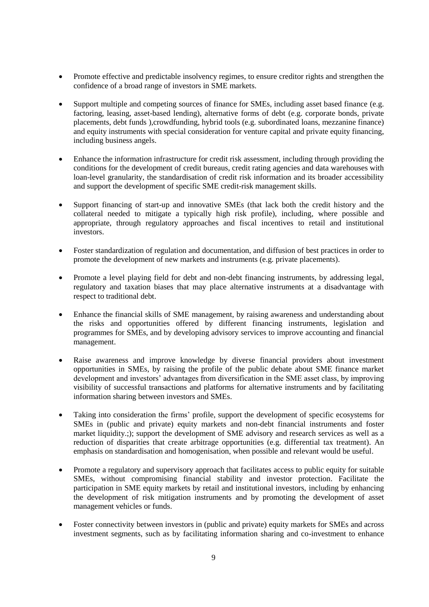- Promote effective and predictable insolvency regimes, to ensure creditor rights and strengthen the confidence of a broad range of investors in SME markets.
- Support multiple and competing sources of finance for SMEs, including asset based finance (e.g. factoring, leasing, asset-based lending), alternative forms of debt (e.g. corporate bonds, private placements, debt funds ),crowdfunding, hybrid tools (e.g. subordinated loans, mezzanine finance) and equity instruments with special consideration for venture capital and private equity financing, including business angels.
- Enhance the information infrastructure for credit risk assessment, including through providing the conditions for the development of credit bureaus, credit rating agencies and data warehouses with loan-level granularity, the standardisation of credit risk information and its broader accessibility and support the development of specific SME credit-risk management skills.
- Support financing of start-up and innovative SMEs (that lack both the credit history and the collateral needed to mitigate a typically high risk profile), including, where possible and appropriate, through regulatory approaches and fiscal incentives to retail and institutional investors.
- Foster standardization of regulation and documentation, and diffusion of best practices in order to promote the development of new markets and instruments (e.g. private placements).
- Promote a level playing field for debt and non-debt financing instruments, by addressing legal, regulatory and taxation biases that may place alternative instruments at a disadvantage with respect to traditional debt.
- Enhance the financial skills of SME management, by raising awareness and understanding about the risks and opportunities offered by different financing instruments, legislation and programmes for SMEs, and by developing advisory services to improve accounting and financial management.
- Raise awareness and improve knowledge by diverse financial providers about investment opportunities in SMEs, by raising the profile of the public debate about SME finance market development and investors' advantages from diversification in the SME asset class, by improving visibility of successful transactions and platforms for alternative instruments and by facilitating information sharing between investors and SMEs.
- Taking into consideration the firms' profile, support the development of specific ecosystems for SMEs in (public and private) equity markets and non-debt financial instruments and foster market liquidity.:); support the development of SME advisory and research services as well as a reduction of disparities that create arbitrage opportunities (e.g. differential tax treatment). An emphasis on standardisation and homogenisation, when possible and relevant would be useful.
- Promote a regulatory and supervisory approach that facilitates access to public equity for suitable SMEs, without compromising financial stability and investor protection. Facilitate the participation in SME equity markets by retail and institutional investors, including by enhancing the development of risk mitigation instruments and by promoting the development of asset management vehicles or funds.
- Foster connectivity between investors in (public and private) equity markets for SMEs and across investment segments, such as by facilitating information sharing and co-investment to enhance